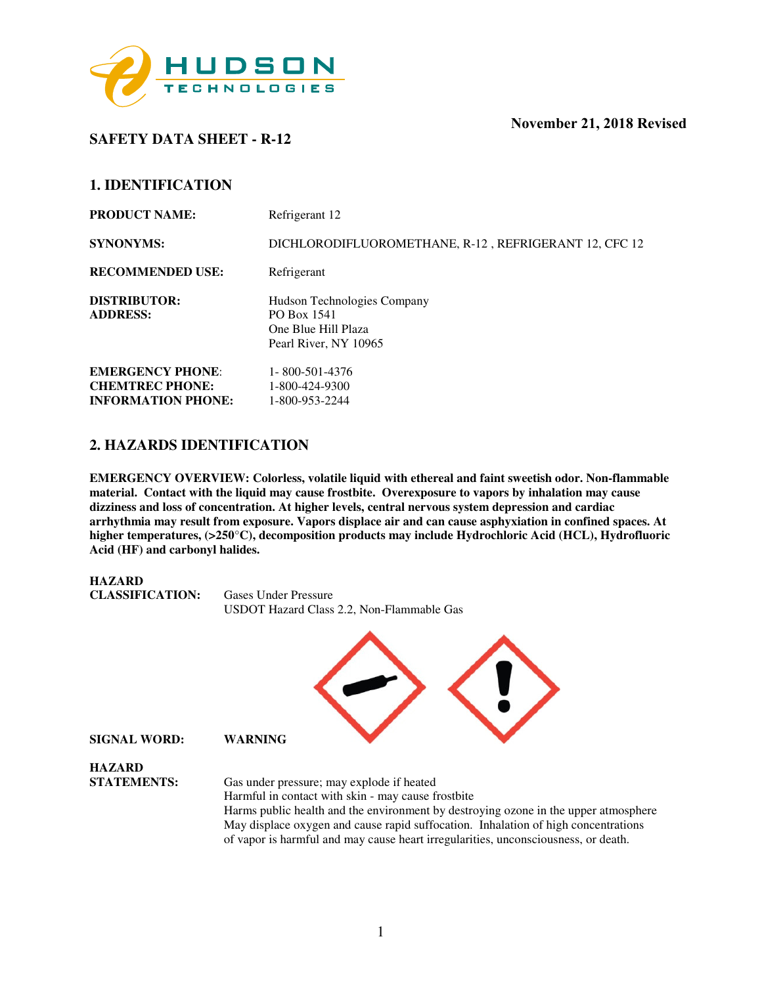

**SAFETY DATA SHEET - R-12** 

| <b>PRODUCT NAME:</b>                                                           | Refrigerant 12                                                                             |
|--------------------------------------------------------------------------------|--------------------------------------------------------------------------------------------|
| <b>SYNONYMS:</b>                                                               | DICHLORODIFLUOROMETHANE, R-12, REFRIGERANT 12, CFC 12                                      |
| <b>RECOMMENDED USE:</b>                                                        | Refrigerant                                                                                |
| <b>DISTRIBUTOR:</b><br><b>ADDRESS:</b>                                         | Hudson Technologies Company<br>PO Box 1541<br>One Blue Hill Plaza<br>Pearl River, NY 10965 |
| <b>EMERGENCY PHONE:</b><br><b>CHEMTREC PHONE:</b><br><b>INFORMATION PHONE:</b> | 1-800-501-4376<br>1-800-424-9300<br>1-800-953-2244                                         |

### **2. HAZARDS IDENTIFICATION**

**EMERGENCY OVERVIEW: Colorless, volatile liquid with ethereal and faint sweetish odor. Non-flammable material. Contact with the liquid may cause frostbite. Overexposure to vapors by inhalation may cause dizziness and loss of concentration. At higher levels, central nervous system depression and cardiac arrhythmia may result from exposure. Vapors displace air and can cause asphyxiation in confined spaces. At higher temperatures, (>250**°**C), decomposition products may include Hydrochloric Acid (HCL), Hydrofluoric Acid (HF) and carbonyl halides.** 

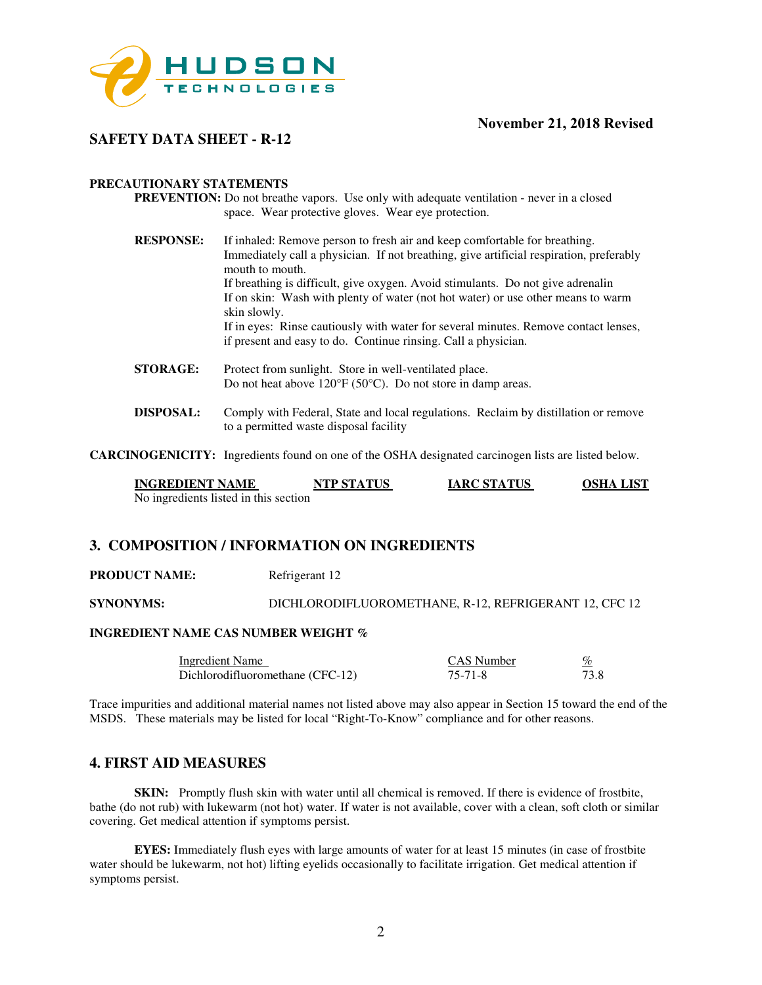

### **SAFETY DATA SHEET - R-12**

#### **PRECAUTIONARY STATEMENTS**

- **PREVENTION:** Do not breathe vapors. Use only with adequate ventilation never in a closed space. Wear protective gloves. Wear eye protection.
- **RESPONSE:** If inhaled: Remove person to fresh air and keep comfortable for breathing. Immediately call a physician. If not breathing, give artificial respiration, preferably mouth to mouth. If breathing is difficult, give oxygen. Avoid stimulants. Do not give adrenalin If on skin: Wash with plenty of water (not hot water) or use other means to warm skin slowly. If in eyes: Rinse cautiously with water for several minutes. Remove contact lenses, if present and easy to do. Continue rinsing. Call a physician.
- **STORAGE:** Protect from sunlight. Store in well-ventilated place. Do not heat above 120°F (50°C). Do not store in damp areas.
- **DISPOSAL:** Comply with Federal, State and local regulations. Reclaim by distillation or remove to a permitted waste disposal facility

**CARCINOGENICITY:** Ingredients found on one of the OSHA designated carcinogen lists are listed below.

| <b>INGREDIENT NAME</b>                | NTP STATUS | <b>IARC STATUS</b> | <b>OSHA LIST</b> |
|---------------------------------------|------------|--------------------|------------------|
| No ingredients listed in this section |            |                    |                  |

### **3. COMPOSITION / INFORMATION ON INGREDIENTS**

**PRODUCT NAME:** Refrigerant 12

**SYNONYMS:** DICHLORODIFLUOROMETHANE, R-12, REFRIGERANT 12, CFC 12

#### **INGREDIENT NAME CAS NUMBER WEIGHT %**

| Ingredient Name                  | CAS Number | %    |
|----------------------------------|------------|------|
| Dichlorodifluoromethane (CFC-12) | 75-71-8    | 73.8 |

Trace impurities and additional material names not listed above may also appear in Section 15 toward the end of the MSDS. These materials may be listed for local "Right-To-Know" compliance and for other reasons.

#### **4. FIRST AID MEASURES**

**SKIN:** Promptly flush skin with water until all chemical is removed. If there is evidence of frostbite, bathe (do not rub) with lukewarm (not hot) water. If water is not available, cover with a clean, soft cloth or similar covering. Get medical attention if symptoms persist.

**EYES:** Immediately flush eyes with large amounts of water for at least 15 minutes (in case of frostbite water should be lukewarm, not hot) lifting eyelids occasionally to facilitate irrigation. Get medical attention if symptoms persist.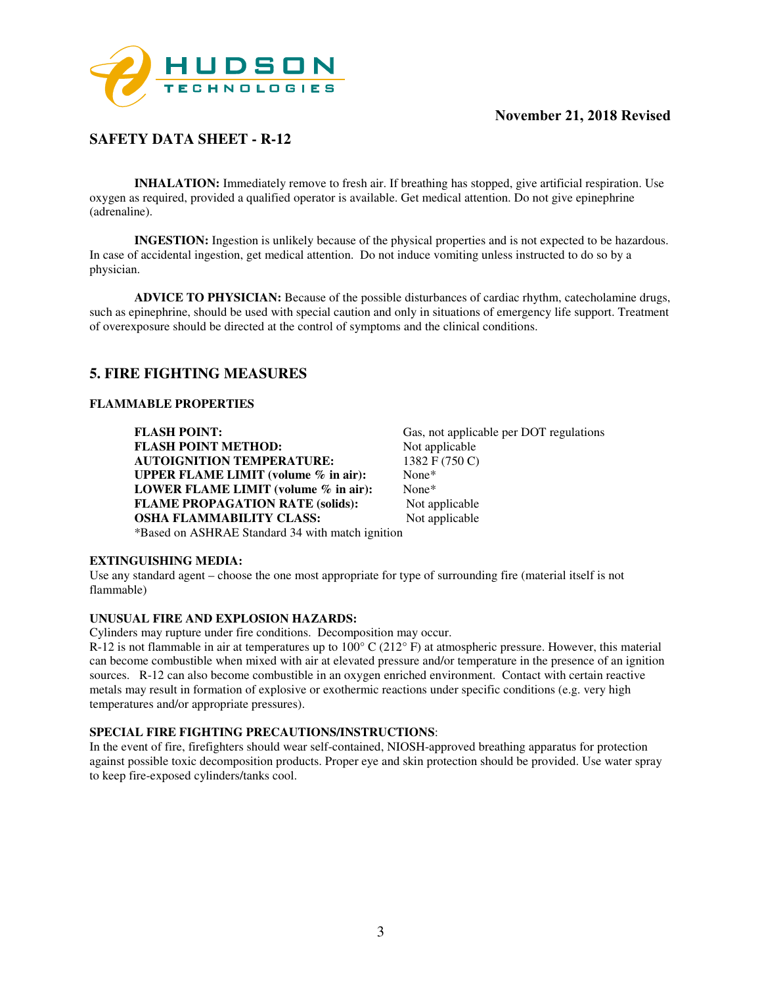

### **SAFETY DATA SHEET - R-12**

**INHALATION:** Immediately remove to fresh air. If breathing has stopped, give artificial respiration. Use oxygen as required, provided a qualified operator is available. Get medical attention. Do not give epinephrine (adrenaline).

**INGESTION:** Ingestion is unlikely because of the physical properties and is not expected to be hazardous. In case of accidental ingestion, get medical attention. Do not induce vomiting unless instructed to do so by a physician.

**ADVICE TO PHYSICIAN:** Because of the possible disturbances of cardiac rhythm, catecholamine drugs, such as epinephrine, should be used with special caution and only in situations of emergency life support. Treatment of overexposure should be directed at the control of symptoms and the clinical conditions.

### **5. FIRE FIGHTING MEASURES**

#### **FLAMMABLE PROPERTIES**

**FLASH POINT:** Gas, not applicable per DOT regulations **FLASH POINT METHOD:** Not applicable **AUTOIGNITION TEMPERATURE:** 1382 F (750 C) **UPPER FLAME LIMIT (volume % in air):** None\* **LOWER FLAME LIMIT (volume % in air):** None\* **FLAME PROPAGATION RATE (solids):** Not applicable **OSHA FLAMMABILITY CLASS:** Not applicable \*Based on ASHRAE Standard 34 with match ignition

# **EXTINGUISHING MEDIA:**

Use any standard agent – choose the one most appropriate for type of surrounding fire (material itself is not flammable)

#### **UNUSUAL FIRE AND EXPLOSION HAZARDS:**

Cylinders may rupture under fire conditions. Decomposition may occur.

R-12 is not flammable in air at temperatures up to  $100^{\circ}$  C (212 $^{\circ}$  F) at atmospheric pressure. However, this material can become combustible when mixed with air at elevated pressure and/or temperature in the presence of an ignition sources. R-12 can also become combustible in an oxygen enriched environment. Contact with certain reactive metals may result in formation of explosive or exothermic reactions under specific conditions (e.g. very high temperatures and/or appropriate pressures).

#### **SPECIAL FIRE FIGHTING PRECAUTIONS/INSTRUCTIONS**:

In the event of fire, firefighters should wear self-contained, NIOSH-approved breathing apparatus for protection against possible toxic decomposition products. Proper eye and skin protection should be provided. Use water spray to keep fire-exposed cylinders/tanks cool.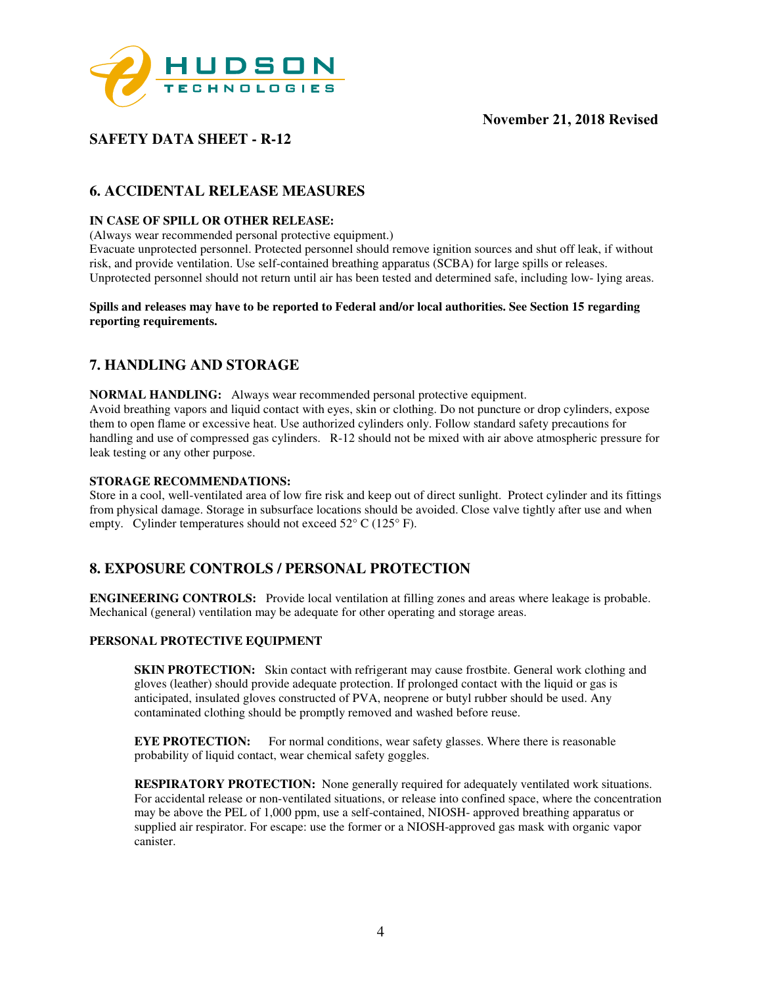

### **SAFETY DATA SHEET - R-12**

### **6. ACCIDENTAL RELEASE MEASURES**

#### **IN CASE OF SPILL OR OTHER RELEASE:**

(Always wear recommended personal protective equipment.)

Evacuate unprotected personnel. Protected personnel should remove ignition sources and shut off leak, if without risk, and provide ventilation. Use self-contained breathing apparatus (SCBA) for large spills or releases. Unprotected personnel should not return until air has been tested and determined safe, including low- lying areas.

#### **Spills and releases may have to be reported to Federal and/or local authorities. See Section 15 regarding reporting requirements.**

### **7. HANDLING AND STORAGE**

**NORMAL HANDLING:** Always wear recommended personal protective equipment. Avoid breathing vapors and liquid contact with eyes, skin or clothing. Do not puncture or drop cylinders, expose them to open flame or excessive heat. Use authorized cylinders only. Follow standard safety precautions for handling and use of compressed gas cylinders. R-12 should not be mixed with air above atmospheric pressure for leak testing or any other purpose.

#### **STORAGE RECOMMENDATIONS:**

Store in a cool, well-ventilated area of low fire risk and keep out of direct sunlight. Protect cylinder and its fittings from physical damage. Storage in subsurface locations should be avoided. Close valve tightly after use and when empty. Cylinder temperatures should not exceed 52° C (125° F).

### **8. EXPOSURE CONTROLS / PERSONAL PROTECTION**

**ENGINEERING CONTROLS:** Provide local ventilation at filling zones and areas where leakage is probable. Mechanical (general) ventilation may be adequate for other operating and storage areas.

#### **PERSONAL PROTECTIVE EQUIPMENT**

**SKIN PROTECTION:** Skin contact with refrigerant may cause frostbite. General work clothing and gloves (leather) should provide adequate protection. If prolonged contact with the liquid or gas is anticipated, insulated gloves constructed of PVA, neoprene or butyl rubber should be used. Any contaminated clothing should be promptly removed and washed before reuse.

**EYE PROTECTION:** For normal conditions, wear safety glasses. Where there is reasonable probability of liquid contact, wear chemical safety goggles.

**RESPIRATORY PROTECTION:** None generally required for adequately ventilated work situations. For accidental release or non-ventilated situations, or release into confined space, where the concentration may be above the PEL of 1,000 ppm, use a self-contained, NIOSH- approved breathing apparatus or supplied air respirator. For escape: use the former or a NIOSH-approved gas mask with organic vapor canister.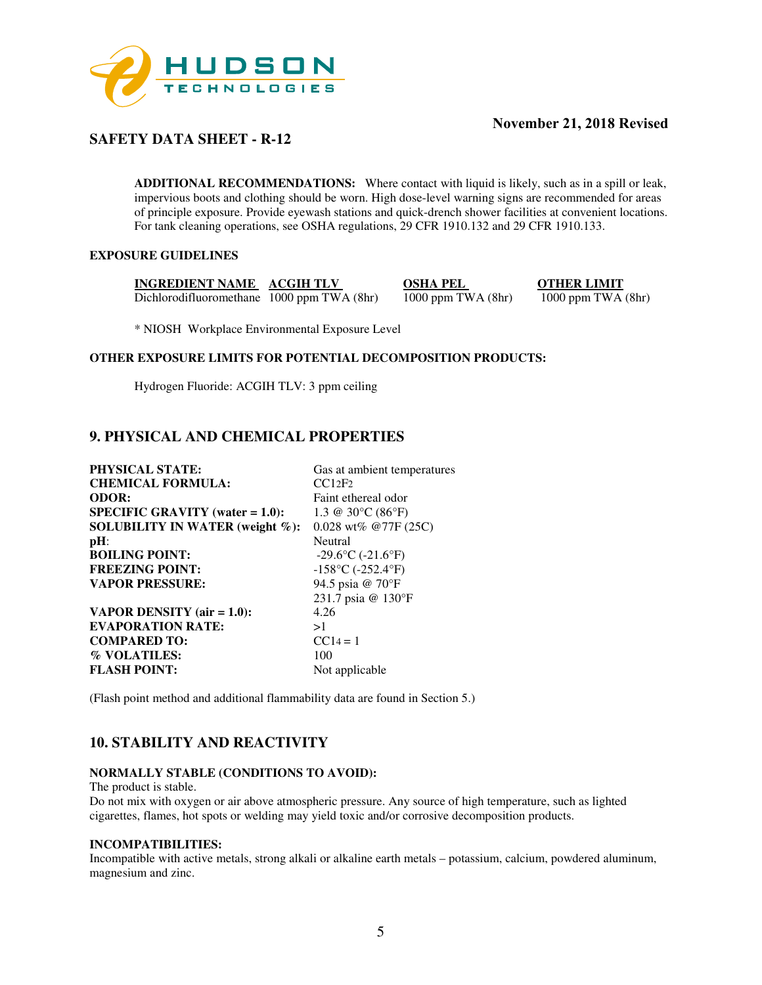

### **SAFETY DATA SHEET - R-12**

**ADDITIONAL RECOMMENDATIONS:** Where contact with liquid is likely, such as in a spill or leak, impervious boots and clothing should be worn. High dose-level warning signs are recommended for areas of principle exposure. Provide eyewash stations and quick-drench shower facilities at convenient locations. For tank cleaning operations, see OSHA regulations, 29 CFR 1910.132 and 29 CFR 1910.133.

### **EXPOSURE GUIDELINES**

**INGREDIENT NAME ACGIH TLV OSHA PEL OTHER LIMIT**<br>Dichlorodifluoromethane 1000 ppm TWA (8hr) 1000 ppm TWA (8hr) 1000 ppm TWA (8hr) Dichlorodifluoromethane 1000 ppm TWA (8hr) 1000 ppm TWA (8hr) 1000 ppm TWA (8hr)

\* NIOSH Workplace Environmental Exposure Level

#### **OTHER EXPOSURE LIMITS FOR POTENTIAL DECOMPOSITION PRODUCTS:**

Hydrogen Fluoride: ACGIH TLV: 3 ppm ceiling

### **9. PHYSICAL AND CHEMICAL PROPERTIES**

| <b>PHYSICAL STATE:</b>              | Gas at ambient temperatures                      |
|-------------------------------------|--------------------------------------------------|
| <b>CHEMICAL FORMULA:</b>            | CC12F2                                           |
| <b>ODOR:</b>                        | Faint ethereal odor                              |
| $SPECIFIC GRAVITY (water = 1.0):$   | 1.3 @ 30 $\rm{^{\circ}C}$ (86 $\rm{^{\circ}F}$ ) |
| SOLUBILITY IN WATER (weight $\%$ ): | $0.028$ wt% @77F (25C)                           |
| $pH$ :                              | <b>Neutral</b>                                   |
| <b>BOILING POINT:</b>               | $-29.6$ °C ( $-21.6$ °F)                         |
| <b>FREEZING POINT:</b>              | $-158$ °C ( $-252.4$ °F)                         |
| <b>VAPOR PRESSURE:</b>              | 94.5 psia @ 70°F                                 |
|                                     | 231.7 psia @ 130°F                               |
| VAPOR DENSITY $(air = 1.0)$ :       | 4.26                                             |
| <b>EVAPORATION RATE:</b>            | >1                                               |
| <b>COMPARED TO:</b>                 | $CC14 = 1$                                       |
| % VOLATILES:                        | 100                                              |
| <b>FLASH POINT:</b>                 | Not applicable                                   |
|                                     |                                                  |

(Flash point method and additional flammability data are found in Section 5.)

### **10. STABILITY AND REACTIVITY**

#### **NORMALLY STABLE (CONDITIONS TO AVOID):**

The product is stable.

Do not mix with oxygen or air above atmospheric pressure. Any source of high temperature, such as lighted cigarettes, flames, hot spots or welding may yield toxic and/or corrosive decomposition products.

#### **INCOMPATIBILITIES:**

Incompatible with active metals, strong alkali or alkaline earth metals – potassium, calcium, powdered aluminum, magnesium and zinc.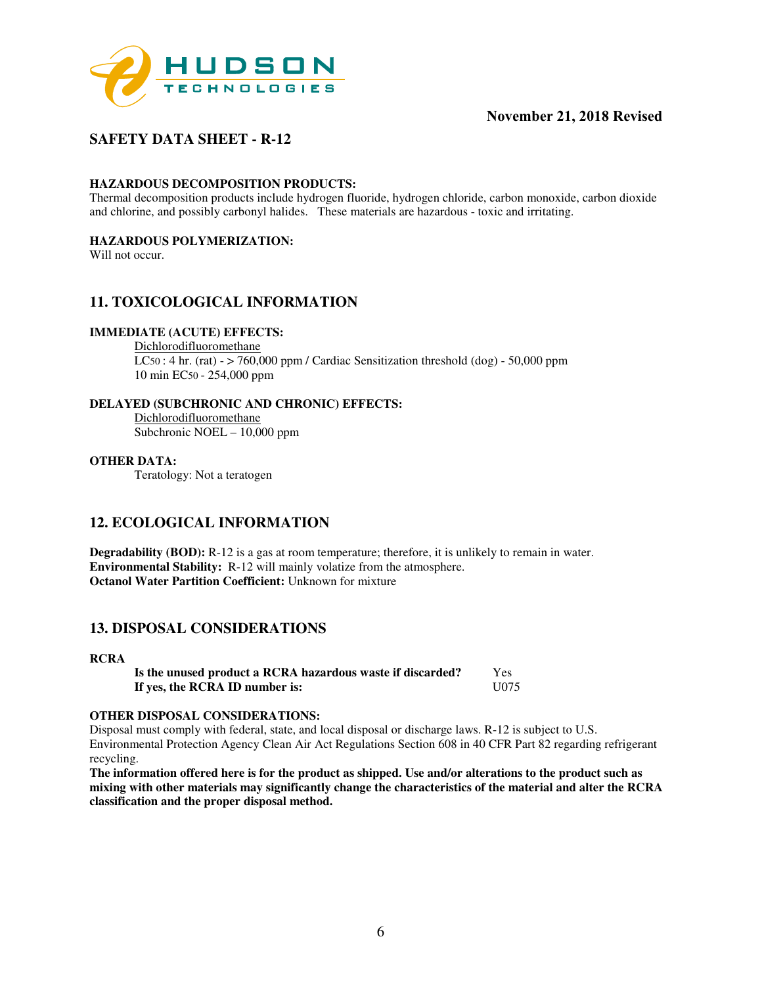

### **SAFETY DATA SHEET - R-12**

#### **HAZARDOUS DECOMPOSITION PRODUCTS:**

Thermal decomposition products include hydrogen fluoride, hydrogen chloride, carbon monoxide, carbon dioxide and chlorine, and possibly carbonyl halides. These materials are hazardous - toxic and irritating.

#### **HAZARDOUS POLYMERIZATION:**

Will not occur.

### **11. TOXICOLOGICAL INFORMATION**

#### **IMMEDIATE (ACUTE) EFFECTS:**

Dichlorodifluoromethane  $LC50:$  4 hr. (rat) -  $>$  760,000 ppm / Cardiac Sensitization threshold (dog) - 50,000 ppm 10 min EC50 - 254,000 ppm

#### **DELAYED (SUBCHRONIC AND CHRONIC) EFFECTS:**

Dichlorodifluoromethane Subchronic NOEL – 10,000 ppm

#### **OTHER DATA:**

Teratology: Not a teratogen

### **12. ECOLOGICAL INFORMATION**

**Degradability (BOD):** R-12 is a gas at room temperature; therefore, it is unlikely to remain in water. **Environmental Stability:** R-12 will mainly volatize from the atmosphere. **Octanol Water Partition Coefficient:** Unknown for mixture

### **13. DISPOSAL CONSIDERATIONS**

#### **RCRA**

**Is the unused product a RCRA hazardous waste if discarded?** Yes **If yes, the RCRA ID number is:** U075

#### **OTHER DISPOSAL CONSIDERATIONS:**

Disposal must comply with federal, state, and local disposal or discharge laws. R-12 is subject to U.S. Environmental Protection Agency Clean Air Act Regulations Section 608 in 40 CFR Part 82 regarding refrigerant recycling.

**The information offered here is for the product as shipped. Use and/or alterations to the product such as mixing with other materials may significantly change the characteristics of the material and alter the RCRA classification and the proper disposal method.**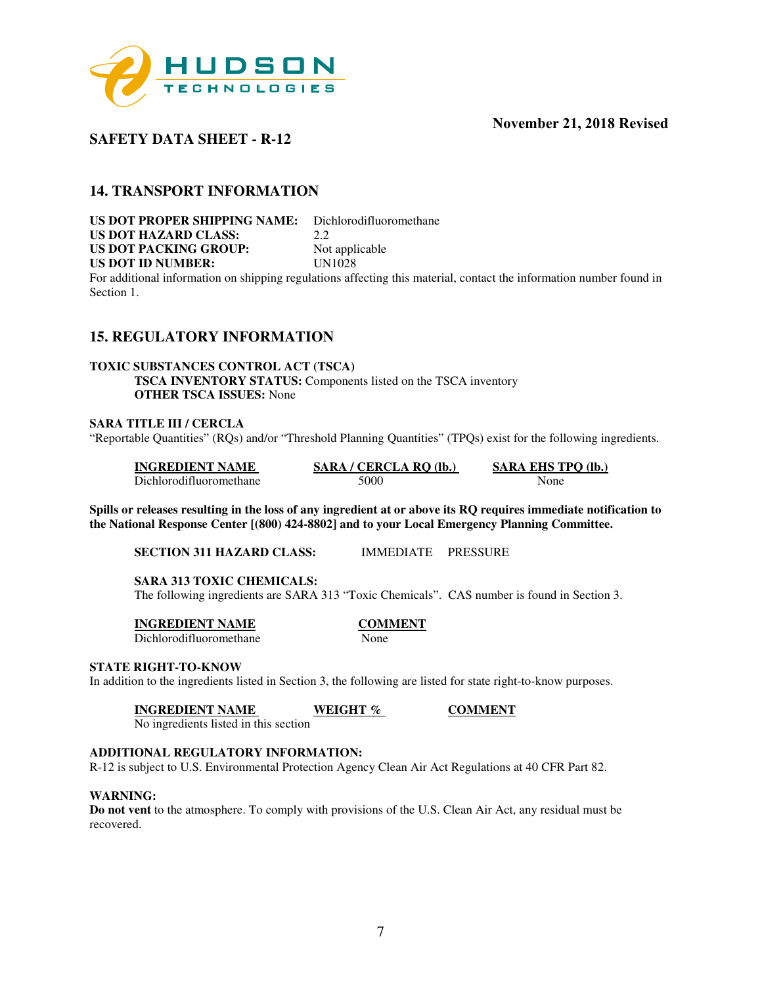

### **SAFETY DATA SHEET - R-12**

### **14. TRANSPORT INFORMATION**

**US DOT PROPER SHIPPING NAME:** Dichlorodifluoromethane<br>US DOT HAZARD CLASS: 22 **US DOT HAZARD CLASS:** 2.2 **US DOT PACKING GROUP:** Not applicable<br> **US DOT ID NUMBER:** UN1028 **US DOT ID NUMBER:** 

For additional information on shipping regulations affecting this material, contact the information number found in Section 1.

### **15. REGULATORY INFORMATION**

#### **TOXIC SUBSTANCES CONTROL ACT (TSCA) TSCA INVENTORY STATUS:** Components listed on the TSCA inventory **OTHER TSCA ISSUES:** None

#### **SARA TITLE III / CERCLA**

"Reportable Quantities" (RQs) and/or "Threshold Planning Quantities" (TPQs) exist for the following ingredients.

| <b>INGREDIENT NAME</b>  | SARA / CERCLA RQ (lb.) | <b>SARA EHS TPO (lb.)</b> |
|-------------------------|------------------------|---------------------------|
| Dichlorodifluoromethane | 5000                   | None                      |

**Spills or releases resulting in the loss of any ingredient at or above its RQ requires immediate notification to the National Response Center [(800) 424-8802] and to your Local Emergency Planning Committee.** 

**SECTION 311 HAZARD CLASS:** IMMEDIATE PRESSURE

**SARA 313 TOXIC CHEMICALS:** 

The following ingredients are SARA 313 "Toxic Chemicals". CAS number is found in Section 3.

**INGREDIENT NAME COMMENT** 

Dichlorodifluoromethane None

#### **STATE RIGHT-TO-KNOW**

In addition to the ingredients listed in Section 3, the following are listed for state right-to-know purposes.

**INGREDIENT NAME WEIGHT % COMMENT** 

No ingredients listed in this section

#### **ADDITIONAL REGULATORY INFORMATION:**

R-12 is subject to U.S. Environmental Protection Agency Clean Air Act Regulations at 40 CFR Part 82.

#### **WARNING:**

**Do not vent** to the atmosphere. To comply with provisions of the U.S. Clean Air Act, any residual must be recovered.